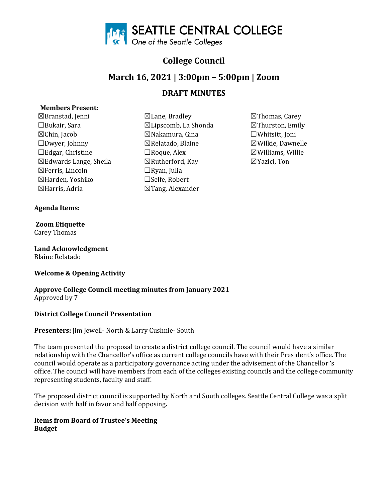

# **College Council**

# **March 16, 2021 | 3:00pm – 5:00pm | Zoom**

# **DRAFT MINUTES**

# **Members Present:**

 $\boxtimes$ Branstad, Jenni  $\boxtimes$ Lane, Bradley  $\boxtimes$ Thomas, Carey  $\boxdot$ Bukair, Sara  $\boxtimes$ Thurston, Emily  $\Box$ Bukair, Sara  $\boxtimes$ Lipscomb, La Shonda ☒Chin, Jacob ☒Nakamura, Gina ☐Whitsitt, Joni ☐Edgar, Christine ☐Roque, Alex ☒Williams, Willie ☒Edwards Lange, Sheila ☒Rutherford, Kay ☒Yazici, Ton ☒Ferris, Lincoln ☐Ryan, Julia ⊠Harden, Yoshiko<br>⊠Harris, Adria

# **Agenda Items:**

#### **Zoom Etiquette** Carey Thomas

**Land Acknowledgment**  Blaine Relatado

# **Welcome & Opening Activity**

**Approve College Council meeting minutes from January 2021**  Approved by 7

# **District College Council Presentation**

#### **Presenters:** Jim Jewell- North & Larry Cushnie- South

The team presented the proposal to create a district college council. The council would have a similar relationship with the Chancellor's office as current college councils have with their President's office. The council would operate as a participatory governance acting under the advisement of the Chancellor 's office. The council will have members from each of the colleges existing councils and the college community representing students, faculty and staff.

The proposed district council is supported by North and South colleges. Seattle Central College was a split decision with half in favor and half opposing**.** 

# **Items from Board of Trustee's Meeting Budget**

- $\boxtimes$ Tang, Alexander
- ⊠Wilkie, Dawnelle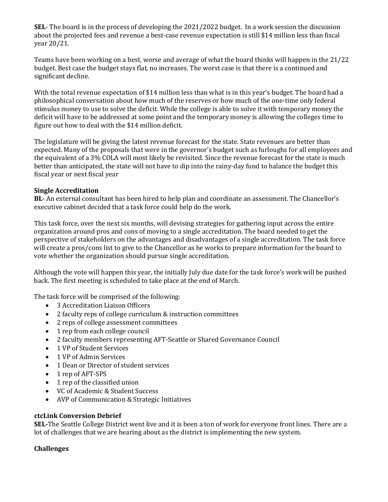**SEL**- The board is in the process of developing the 2021/2022 budget. In a work session the discussion about the projected fees and revenue a best-case revenue expectation is still \$14 million less than fiscal year 20/21.

Teams have been working on a best, worse and average of what the board thinks will happen in the 21/22 budget. Best case the budget stays flat, no increases. The worst case is that there is a continued and significant decline.

With the total revenue expectation of \$14 million less than what is in this year's budget. The board had a philosophical conversation about how much of the reserves or how much of the one-time only federal stimulus money to use to solve the deficit. While the college is able to solve it with temporary money the deficit will have to be addressed at some point and the temporary money is allowing the colleges time to figure out how to deal with the \$14 million deficit.

The legislature will be giving the latest revenue forecast for the state. State revenues are better than expected. Many of the proposals that were in the governor's budget such as furloughs for all employees and the equivalent of a 3% COLA will most likely be revisited. Since the revenue forecast for the state is much better than anticipated, the state will not have to dip into the rainy-day fund to balance the budget this fiscal year or next fiscal year

#### **Single Accreditation**

**BL**- An external consultant has been hired to help plan and coordinate an assessment. The Chancellor's executive cabinet decided that a task force could help do the work.

This task force, over the next six months, will devising strategies for gathering input across the entire organization around pros and cons of moving to a single accreditation. The board needed to get the perspective of stakeholders on the advantages and disadvantages of a single accreditation. The task force will create a pros/cons list to give to the Chancellor as he works to prepare information for the board to vote whether the organization should pursue single accreditation.

Although the vote will happen this year, the initially July due date for the task force's work will be pushed back. The first meeting is scheduled to take place at the end of March.

The task force will be comprised of the following:

- 3 Accreditation Liaison Officers
- 2 faculty reps of college curriculum & instruction committees
- 2 reps of college assessment committees
- 1 rep from each college council
- 2 faculty members representing AFT-Seattle or Shared Governance Council
- 1 VP of Student Services
- 1 VP of Admin Services
- 1 Dean or Director of student services
- 1 rep of AFT-SPS
- 1 rep of the classified union
- VC of Academic & Student Success
- AVP of Communication & Strategic Initiatives

#### **ctcLink Conversion Debrief**

**SEL-**The Seattle College District went live and it is been a ton of work for everyone front lines. There are a lot of challenges that we are hearing about as the district is implementing the new system.

#### **Challenges**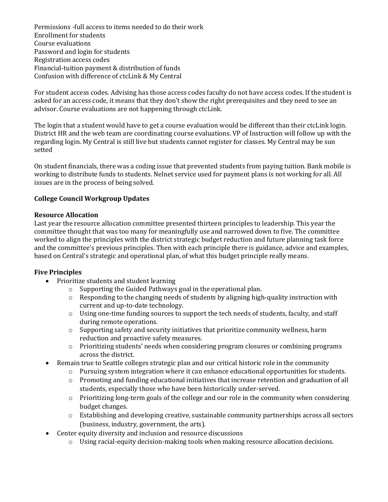Permissions -full access to items needed to do their work Enrollment for students Course evaluations Password and login for students Registration access codes Financial-tuition payment & distribution of funds Confusion with difference of ctcLink & My Central

For student access codes. Advising has those access codes faculty do not have access codes. If the student is asked for an access code, it means that they don't show the right prerequisites and they need to see an advisor. Course evaluations are not happening through ctcLink.

The login that a student would have to get a course evaluation would be different than their ctcLink login. District HR and the web team are coordinating course evaluations. VP of Instruction will follow up with the regarding login. My Central is still live but students cannot register for classes. My Central may be sun setted

On student financials, there was a coding issue that prevented students from paying tuition. Bank mobile is working to distribute funds to students. Nelnet service used for payment plans is not working for all. All issues are in the process of being solved.

# **College Council Workgroup Updates**

#### **Resource Allocation**

Last year the resource allocation committee presented thirteen principles to leadership. This year the committee thought that was too many for meaningfully use and narrowed down to five. The committee worked to align the principles with the district strategic budget reduction and future planning task force and the committee's previous principles. Then with each principle there is guidance, advice and examples, based on Central's strategic and operational plan, of what this budget principle really means.

# **Five Principles**

- Prioritize students and student learning
	- o Supporting the Guided Pathways goal in the operational plan.
	- $\circ$  Responding to the changing needs of students by aligning high-quality instruction with current and up-to-date technology.
	- o Using one-time funding sources to support the tech needs of students, faculty, and staff during remote operations.
	- o Supporting safety and security initiatives that prioritize community wellness, harm reduction and proactive safety measures.
	- $\circ$  Prioritizing students' needs when considering program closures or combining programs across the district.
	- Remain true to Seattle colleges strategic plan and our critical historic role in the community
		- $\circ$  Pursuing system integration where it can enhance educational opportunities for students.
		- o Promoting and funding educational initiatives that increase retention and graduation of all students, especially those who have been historically under-served.
		- o Prioritizing long-term goals of the college and our role in the community when considering budget changes.
		- o Establishing and developing creative, sustainable community partnerships across all sectors (business, industry, government, the arts).
- Center equity diversity and inclusion and resource discussions
	- $\circ$  Using racial-equity decision-making tools when making resource allocation decisions.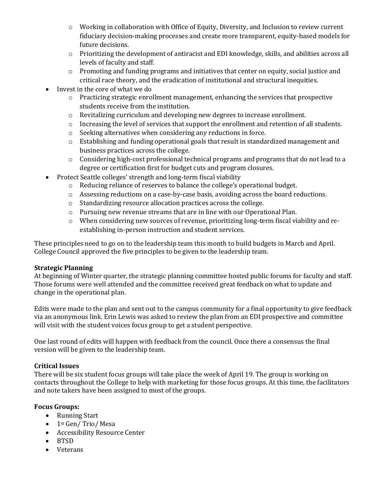- o Working in collaboration with Office of Equity, Diversity, and Inclusion to review current fiduciary decision-making processes and create more transparent, equity-based models for future decisions.
- o Prioritizing the development of antiracist and EDI knowledge, skills, and abilities across all levels of faculty and staff.
- $\circ$  Promoting and funding programs and initiatives that center on equity, social justice and critical race theory, and the eradication of institutional and structural inequities.
- Invest in the core of what we do
	- o Practicing strategic enrollment management, enhancing the services that prospective students receive from the institution.
	- o Revitalizing curriculum and developing new degrees to increase enrollment.
	- $\circ$  Increasing the level of services that support the enrollment and retention of all students.
	- o Seeking alternatives when considering any reductions in force.
	- o Establishing and funding operational goals that result in standardized management and business practices across the college.
	- o Considering high-cost professional technical programs and programs that do not lead to a degree or certification first for budget cuts and program closures.
- Protect Seattle colleges' strength and long-term fiscal viability
	- o Reducing reliance of reserves to balance the college's operational budget.
	- o Assessing reductions on a case-by-case basis, avoiding across the board reductions.
	- o Standardizing resource allocation practices across the college.
	- o Pursuing new revenue streams that are in line with our Operational Plan.
	- $\circ$  When considering new sources of revenue, prioritizing long-term fiscal viability and reestablishing in-person instruction and student services.

These principles need to go on to the leadership team this month to build budgets in March and April. College Council approved the five principles to be given to the leadership team.

# **Strategic Planning**

At beginning of Winter quarter, the strategic planning committee hosted public forums for faculty and staff. Those forums were well attended and the committee received great feedback on what to update and change in the operational plan.

Edits were made to the plan and sent out to the campus community for a final opportunity to give feedback via an anonymous link. Erin Lewis was asked to review the plan from an EDI prospective and committee will visit with the student voices focus group to get a student perspective.

One last round of edits will happen with feedback from the council. Once there a consensus the final version will be given to the leadership team.

# **Critical Issues**

There will be six student focus groups will take place the week of April 19. The group is working on contacts throughout the College to help with marketing for those focus groups. At this time, the facilitators and note takers have been assigned to most of the groups.

# **Focus Groups:**

- Running Start
- 1<sup>st</sup> Gen/ Trio/ Mesa
- Accessibility Resource Center
- BTSD
- Veterans